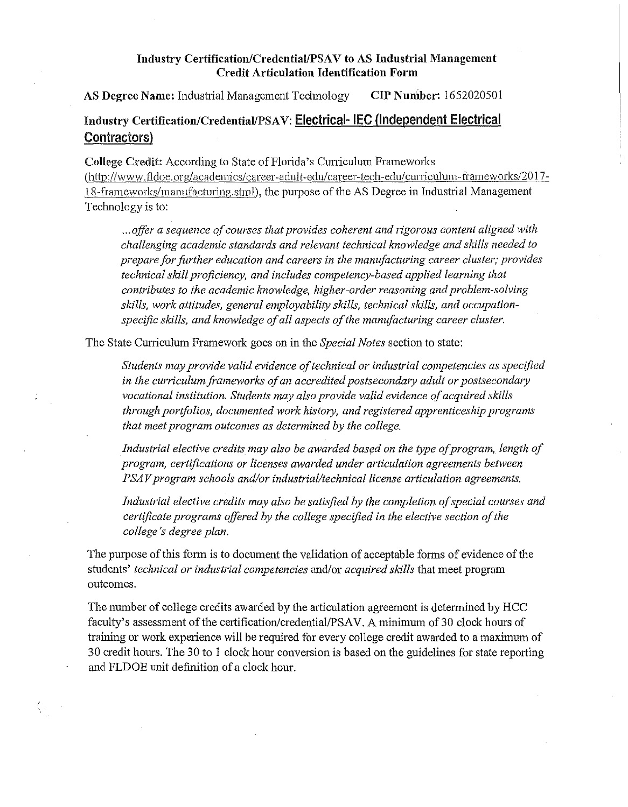### **Industry Certification/Credential/PSA V to AS Industrial Management Credit Articulation Identification Form**

**AS Degree Name:** Industrial Management Technology **CIP Number:** 1652020501

# **Industry Certification/Credential/PSA V: Electrical- IEC {Independent Electrical Contractors)**

College Credit: According to State of Florida's Cuniculum Frameworks (http://www.fldoe.org/academics/career-adult-edu/career-tech-edu/curriculum-frameworks/2017-18-frameworks/manufacturing.stml), the purpose of the AS Degree in Industrial Management Technology is to:

... offer a sequence of courses that provides coherent and rigorous content aligned with *challenging academic standards and relevant technical lawwledge and sldlls needed to prepare for further education and careers in the manufacturing career cluster; provides technical sldll proficiency, and includes competency-based applied learning that contributes to the academic knowledge, higher-order reasoning and problem-solving skills, work attitudes, general employability skills, technical skills, and occupation*specific skills, and knowledge of all aspects of the manufacturing career cluster.

The State Curriculum Framework goes on in the *Special Notes* section to state:

*Students may provide valid evidence oftechnical or industrial competencies as specified*  in the curriculum frameworks of an accredited postsecondary adult or postsecondary vocational institution. Students may also provide valid evidence of acquired skills *through portfolios, documented work histo1y, and registered apprenticeship programs that meet program outcomes as determined by the college.* 

Industrial elective credits may also be awarded based on the type of program, length of *program, certifications or licenses awarded under articulation agreements between PSAV program schools and/or industrial/technical license articulation agreements.* 

Industrial elective credits may also be satisfied by the completion of special courses and *certificate programs offered by the college specified in the elective section ofthe college's degree plan.* 

The purpose of this form is to document the validation of acceptable forms of evidence of the students' *technical or industrial competencies* and/or *acquired skills* that meet program outcomes.

The number of college credits awarded by the articulation agreement is determined by HCC faculty's assessment of the certification/credential/PSAV. A minimum of 30 clock hours of training or work experience will be required for every college credit awarded to a maximum of 30 credit hours. The 30 to 1 clock hour conversion is based on the guidelines for state reporting and FLDOE unit definition of a clock hour.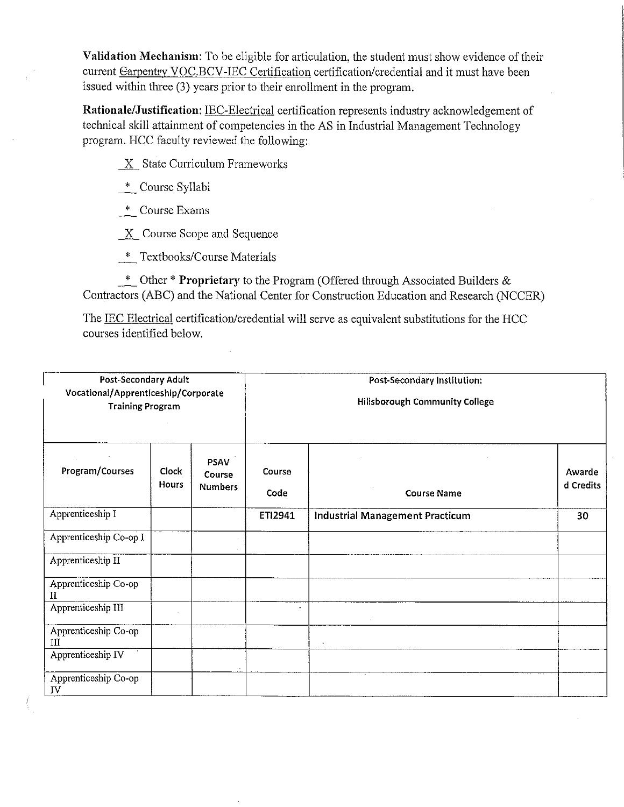**Validation Mechanism:** To be eligible for articulation, the student must show evidence oftheir current Earpentry VOC.BCV-IEC Certification certification/credential and it must have been issued within three (3) years prior to their enrollment in the program.

**Rationale/Justification: IEC-Electrical certification represents industry acknowledgement of** technical skill attainment of competencies in the AS in Industrial Management Technology program. HCC faculty reviewed the following:

*\_]L* State Curriculum Frameworks

\* Course Syllabi

\_\_\_:\_\_ Course Exams

X Course Scope and Sequence

\_\*\_ Textbooks/Course Materials

\_\*\_ Other \* **Proprietary** to the Program (Offered through Associated Builders & Contractors (ABC) and the National Center for Construction Education and Research (NCCER)

The IEC Electrical certification/credential will serve as equivalent substitutions for the HCC courses identified below.

| <b>Post-Secondary Adult</b><br>Vocational/Apprenticeship/Corporate<br><b>Training Program</b> |                              |                                         | <b>Post-Secondary Institution:</b><br>Hillsborough Community College |                                 |                     |  |
|-----------------------------------------------------------------------------------------------|------------------------------|-----------------------------------------|----------------------------------------------------------------------|---------------------------------|---------------------|--|
| Program/Courses                                                                               | <b>Clock</b><br><b>Hours</b> | <b>PSAV</b><br>Course<br><b>Numbers</b> | Course<br>Code                                                       | <b>Course Name</b>              | Awarde<br>d Credits |  |
| Apprenticeship I                                                                              |                              |                                         | ETI2941                                                              | Industrial Management Practicum | 30                  |  |
| Apprenticeship Co-op I                                                                        |                              |                                         |                                                                      |                                 |                     |  |
| Apprenticeship II                                                                             |                              |                                         |                                                                      |                                 |                     |  |
| Apprenticeship Co-op<br>П                                                                     |                              |                                         |                                                                      |                                 |                     |  |
| Apprenticeship III                                                                            |                              |                                         | $\ddot{\phantom{0}}$                                                 |                                 |                     |  |
| Apprenticeship Co-op<br>Ш                                                                     |                              |                                         |                                                                      |                                 |                     |  |
| Apprenticeship IV                                                                             |                              |                                         |                                                                      |                                 |                     |  |
| Apprenticeship Co-op<br>IV                                                                    |                              |                                         |                                                                      |                                 |                     |  |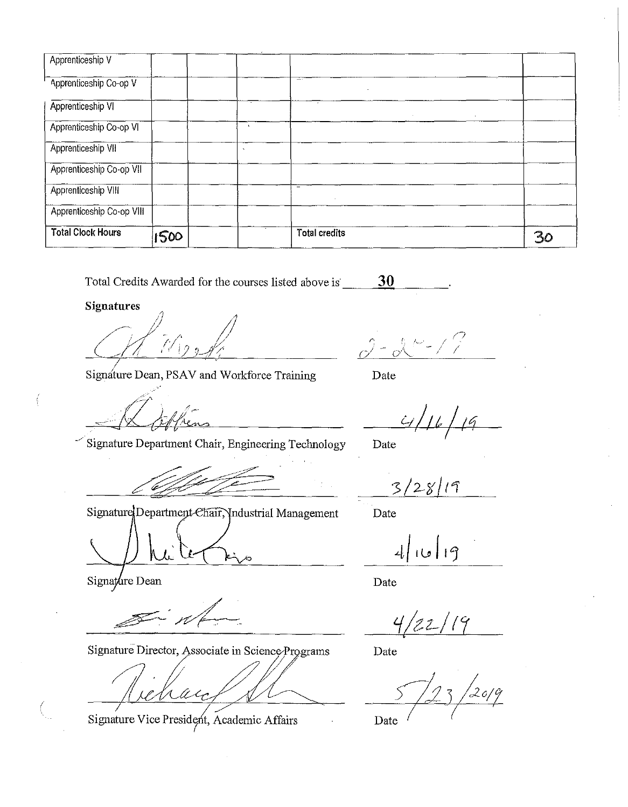| Apprenticeship V          |      |              |                      |  |                             |    |
|---------------------------|------|--------------|----------------------|--|-----------------------------|----|
| Apprenticeship Co-op V    |      |              | --                   |  |                             |    |
| Apprenticeship VI         |      |              |                      |  | $\mathcal{L}_{\mathcal{A}}$ |    |
| Apprenticeship Co-op VI   |      | $\mathbf{R}$ |                      |  |                             |    |
| Apprenticeship VII        |      |              |                      |  |                             |    |
| Apprenticeship Co-op VII  |      |              |                      |  |                             |    |
| Apprenticeship VIII       |      |              | $\sim$               |  |                             |    |
| Apprenticeship Co-op VIII |      |              |                      |  |                             |    |
| <b>Total Clock Hours</b>  | 1500 |              | <b>Total credits</b> |  |                             | 30 |

Total Credits Awarded for the courses listed above is \_\_\_\_\_\_ **30** 

**Signatures** 

 $\widehat{f}/\widehat{f}_{12}$  , / '

Signature Dean, PSAV and Workforce Training

Signature Department Chair, Engineering Technology

Signature Department Chair, Industrial Management

Signature Director, Associate in Science Programs Date

Û.

Signature Vice President, Academic Affairs **Date** 

*r; {'\_ I,.\_,·*   $c/$  - o\  $^{\circ}$  - / /

Date

Date

 $3/28/19$ 

Date

19 | ق) | 4

Date

 $22/19$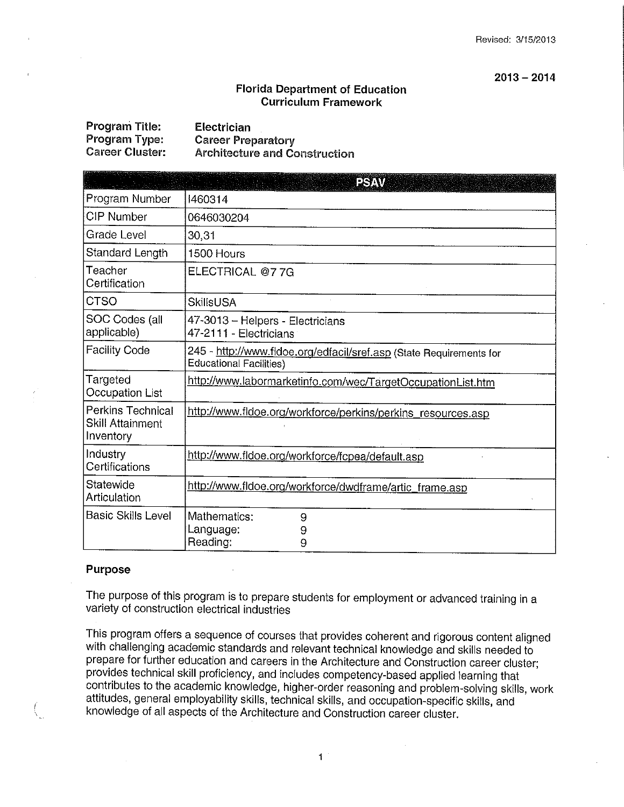#### **2013 - 2014**

#### **Florida Department of Education Curriculum Framework**

| Program Title:  | Electrician                          |
|-----------------|--------------------------------------|
| Program Type:   | <b>Career Preparatory</b>            |
| Career Cluster: | <b>Architecture and Construction</b> |

|                                                           | a destruction<br><b>PSY W</b>                                                                         |
|-----------------------------------------------------------|-------------------------------------------------------------------------------------------------------|
| Program Number                                            | 1460314                                                                                               |
| CIP Number                                                | 0646030204                                                                                            |
| Grade Level                                               | 30,31                                                                                                 |
| Standard Length                                           | 1500 Hours                                                                                            |
| Teacher<br>Certification                                  | ELECTRICAL @77G                                                                                       |
| <b>CTSO</b>                                               | <b>SkillsUSA</b>                                                                                      |
| SOC Codes (all<br>applicable)                             | 47-3013 - Helpers - Electricians<br>47-2111 - Electricians                                            |
| <b>Facility Code</b>                                      | 245 - http://www.fldoe.org/edfacil/sref.asp (State Requirements for<br><b>Educational Facilities)</b> |
| Targeted<br>Occupation List                               | http://www.labormarketinfo.com/wec/TargetOccupationList.htm                                           |
| Perkins Technical<br><b>Skill Attainment</b><br>Inventory | http://www.fldoe.org/workforce/perkins/perkins_resources.asp                                          |
| Industry<br>Certifications                                | http://www.fidoe.org/workforce/fcpea/default.asp                                                      |
| Statewide<br>Articulation                                 | http://www.fldoe.org/workforce/dwdframe/artic_frame.asp                                               |
| <b>Basic Skills Level</b>                                 | Mathematics:<br>9<br>Language:<br>9<br>Reading:<br>9                                                  |

#### **Purpose**

The purpose of this program is to prepare students for employment or advanced training in a variety of construction electrical industries

This program offers a sequence of courses that provides coherent and rigorous content aligned with challenging academic standards and relevant technical knowledge and skills needed to prepare for further education and careers in the Architecture and Construction career cluster; provides technical skill proficiency, and includes competency-based applied learning that contributes to the academic knowledge, higher-order reasoning and problem-solving skills, work attitudes, general employability skills, technical skills, and occupation-specific skills, and knowledge of all aspects of the Architecture and Construction career cluster. *(*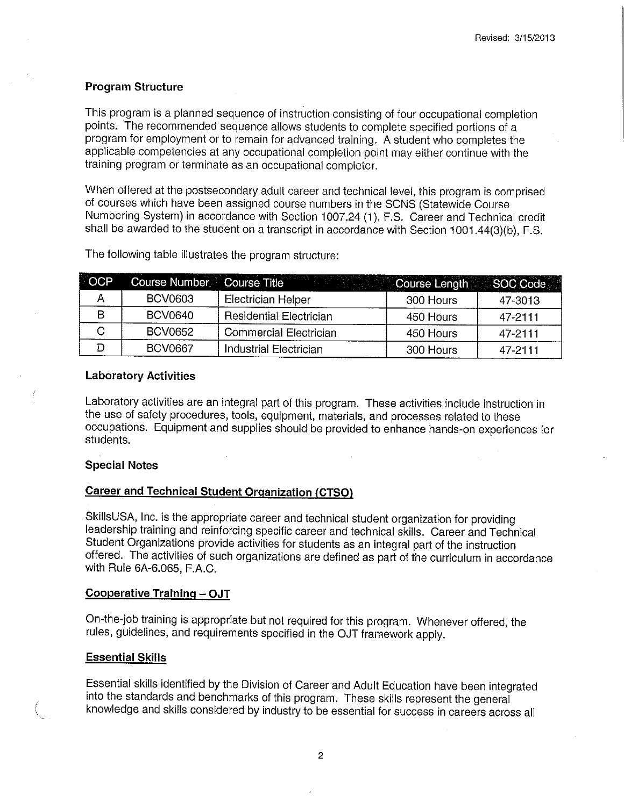#### **Program Structure**

This program is a planned sequence of instruction consisting of four occupational completion points. The recommended sequence allows students to complete specified portions of a program for employment or to remain for advanced training. A student who completes the applicable competencies at any occupational completion point may either continue with the training program or terminate as an occupational completer.

When offered at the postsecondary adult career and technical level, this program is comprised of courses which have been assigned course numbers in the SCNS (Statewide Course Numbering System) in accordance with Section 1007.24 (1), F.S. Career and Technical credit shall be awarded to the student on a transcript in accordance with Section 1001.44(3)(b), F.S.

| <b>OCP</b> | Course Number Course Title |                                | Course Length SOC Code |         |
|------------|----------------------------|--------------------------------|------------------------|---------|
|            | <b>BCV0603</b>             | Electrician Helper             | 300 Hours              | 47-3013 |
|            | <b>BCV0640</b>             | <b>Residential Electrician</b> | 450 Hours              | 47-2111 |
|            | <b>BCV0652</b>             | <b>Commercial Electrician</b>  | 450 Hours              | 47-2111 |
|            | <b>BCV0667</b>             | <b>Industrial Electrician</b>  | 300 Hours              | 47-2111 |

The following table illustrates the program structure:

### **Laboratory Activities**

Laboratory activities are an integral part of this program. These activities include instruction in the use of safety procedures, tools, equipment, materials, and processes related to these occupations. Equipment and supplies should be provided to enhance hands-on experiences for students.

#### **Special Notes**

#### **Career and Technical Student Organization (CTSO)**

SkillsUSA, Inc. is the appropriate career and technical student organization for providing leadership training and reinforcing specific career and technical skills. Career and Technical Student Organizations provide activities for students as an integral part of the instruction offered. The activities of such organizations are defined as part of the curriculum in accordance with Rule 6A-6.065, F.A.C.

### **Cooperative Training-' OJT**

On-the-job training is appropriate but not required for this program. Whenever offered, the rules, guidelines, and requirements specified in the OJT framework apply.

#### **Essential Skills**

Essential skills identified by the Division of Career and Adult Education have been integrated into the standards and benchmarks of this program. These skills represent the general knowledge and skills considered by industry to be essential for success in careers across all

2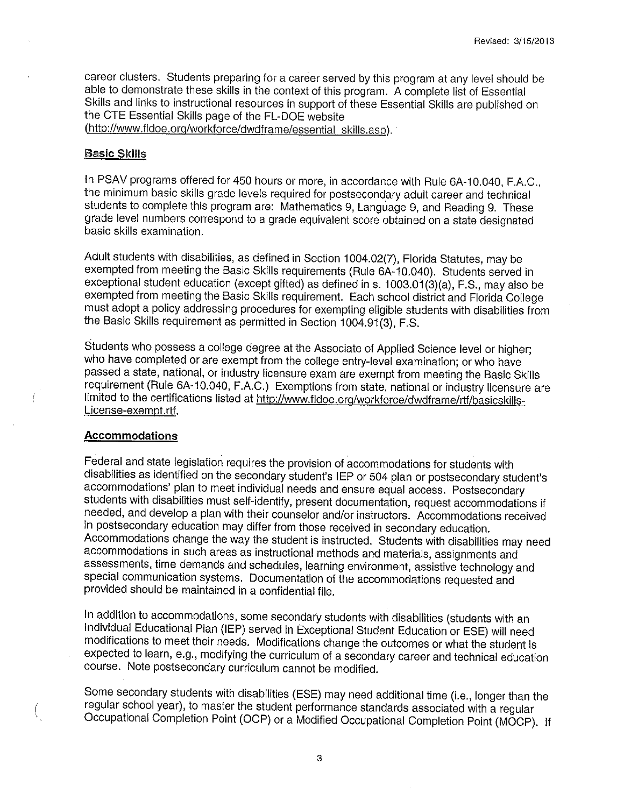career clusters. Students preparing for a career served by this program at any level should be able to demonstrate these skills in the context of this program. A complete list of Essential Skills and links to instructional resources in support of these Essential Skills are published on the CTE Essential Skills page of the FL-DOE website

(<http://www.fldoe.org/workforce/dwdframe/essential> skills.asp).

#### **Basic Skills**

In PSAV programs offered for 450 hours or more, in accordance with Rule GA-10.040, F.A.C., the minimum basic skills grade levels required for postsecondary adult career and technical students to complete this program are: Mathematics 9, Language 9, and Reading 9. These grade level numbers correspond to a grade equivalent score obtained on a state designated basic skills examination.

Adult students with disabilities, as defined in Section 1004.02(7), Florida Statutes, may be exempted from meeting the Basic Skills requirements (Rule GA-10.040). Students served in exceptional student education (except gifted) as defined in s. 1003.01(3)(a), F.S., may also be exempted from meeting the Basic Skills requirement. Each school district and Florida College must adopt a policy addressing procedures for exempting eligible students with disabilities from the Basic Skills requirement as permitted in Section 1004.91(3), F.S.

Students who possess a college degree at the Associate of Applied Science level or higher; who have completed or are exempt from the college entry-level examination; or who have passed a state, national, or industry licensure exam are exempt from meeting the Basic Skills requirement (Rule GA-10.040, F.A.C.) Exemptions from state, national or industry licensure are limited to the certifications listed at <http://www.fldoe.org/workforce/dwdframe/rtf/basicskills>-License-exempt.rtf.

#### **Accommodations**

*(* 

Federal and state legislation requires the provision of accommodations for students with disabilities as identified on the secondary student's IEP or 504 plan or postsecondary student's accommodations' plan to meet individual needs and ensure equal access. Postsecondary students with disabilities must self-identify, present documentation, request accommodations if needed, and develop a plan with their counselor and/or instructors. Accommodations received in postsecondary education may differ from those received in secondary education. Accommodations change the way the student is instructed. Students with disabilities may need accommodations in such areas as instructional methods and materials, assignments and assessments, time demands and schedules, learning environment, assistive technology and special communication systems. Documentation of the accommodations requested and provided should be maintained in a confidential file.

In addition to accommodations, some secondary students with disabilities (students with an Individual Educational Plan (IEP) served in Exceptional Student Education or ESE) will need modifications to meet their needs. Modifications change the outcomes or what the student is expected to learn, e.g., modifying the curriculum of a secondary career and technical education course. Note postsecondary curriculum cannot be modified.

Some secondary students with disabilities (ESE) may need additional time (i.e., longer than the regular school year), to master the student performance standards associated with a regular Occupational Completion Point (OCP) or a Modified Occupational Completion Point (MOCP). If

3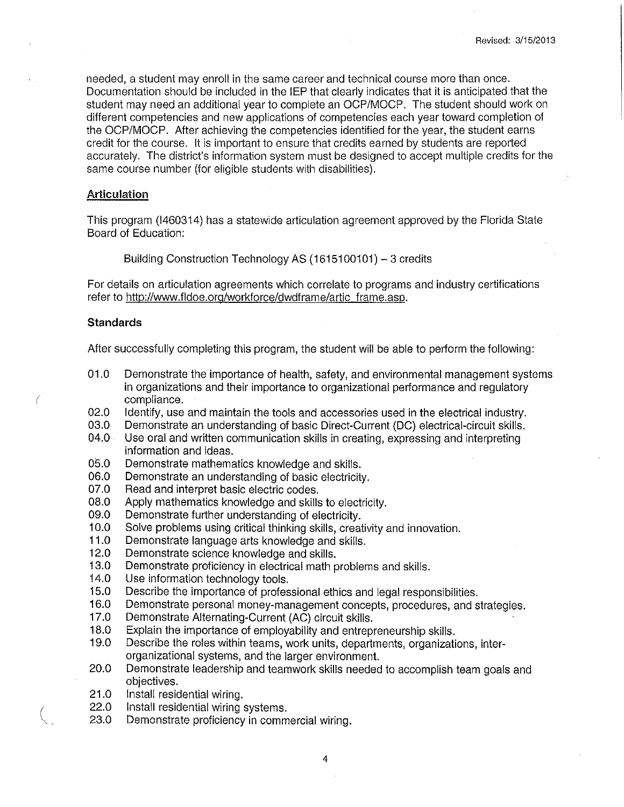needed, a student may enroll in the same career and technical course more than once. Documentation should be included in the IEP that clearly indicates that it is anticipated that the student may need an additional year to complete an OCP/MOCP. The student should work on different competencies and new applications of competencies each year toward completion of the OCP/MOCP. After achieving the competencies identified for the year, the student earns credit for the course. It is important to ensure that credits earned by students are reported accurately. The district's information system must be designed to accept multiple credits for the same course number (for eligible students with disabilities).

#### **Articulation**

This program (1460314) has a statewide articulation agreement approved by the Florida State Board of Education:

Building Construction Technology AS (1615100101) - 3 credits

For details on articulation agreements which correlate to programs and industry certifications refer to <http://www.fldoe.org/workforce/dwdframe/artic>\_frame.asp.

#### **Standards**

After successfully completing this program, the student will be able to pertorm the following:

- 01.0 Demonstrate the importance of health, safety, and environmental management systems in organizations and their importance to organizational pertormance and regulatory compliance.
- 02.0 Identify, use and maintain the tools and accessories used in the electrical industry.
- 03.0 Demonstrate an understanding of basic Direct-Current (DC) electrical-circuit skills.
- 04.0 Use oral and written communication skills in creating, expressing and interpreting information and ideas.
- 05.0 Demonstrate mathematics knowledge and skills.
- 06.0 Demonstrate an understanding of basic electricity.
- 07.0 Read and interpret basic electric codes.
- 08.0 Apply mathematics knowledge and skills to electricity.
- 09.0 Demonstrate further understanding of electricity.<br>10.0 Solve problems using critical thinking skills, creation
- Solve problems using critical thinking skills, creativity and innovation.
- **11.0** Demonstrate language arts knowledge and skills.
- 12.0 Demonstrate science knowledge and skills.
- 13.0 Demonstrate proficiency in electrical math problems and skills.<br>14.0 Use information technology tools.
- Use information technology tools.
- 15.0 Describe the importance of professional ethics and legal responsibilities.
- 16.0 Demonstrate personal money-management concepts, procedures, and strategies.<br>17.0 Demonstrate Alternating-Current (AC) circuit skills.
- Demonstrate Alternating-Current (AC) circuit skills.
- 18.0 Explain the importance of employability and entrepreneurship skills.<br>19.0 Describe the roles within teams, work units, departments, organizati
- Describe the roles within teams, work units, departments, organizations, interorganizational systems, and the larger environment.
- 20.0 Demonstrate leadership and teamwork skills needed to accomplish team goals and objectives.
- 21.0 Install residential wiring.
- 22.0 Install residential wiring systems. *(*
- Demonstrate proficiency in commercial wiring.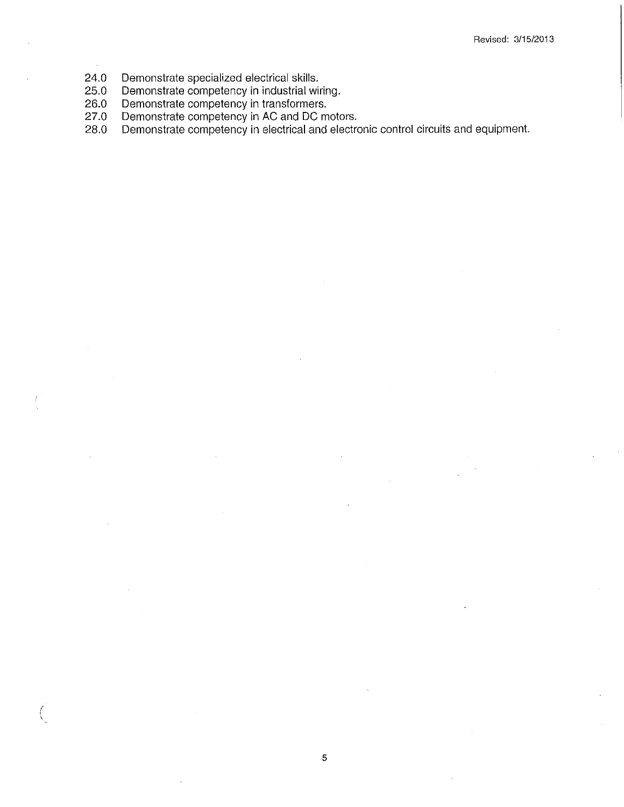- 24.0 Demonstrate specialized electrical skills.<br>25.0 Demonstrate competency in industrial wire
- 25.0 Demonstrate competency in industrial wiring.<br>26.0 Demonstrate competency in transformers.
- 26.0 Demonstrate competency in transformers.<br>27.0 Demonstrate competency in AC and DC m

(

- 
- 27.0 Demonstrate competency in AC and DC motors.<br>28.0 Demonstrate competency in electrical and electro Demonstrate competency in electrical and electronic control circuits and equipment.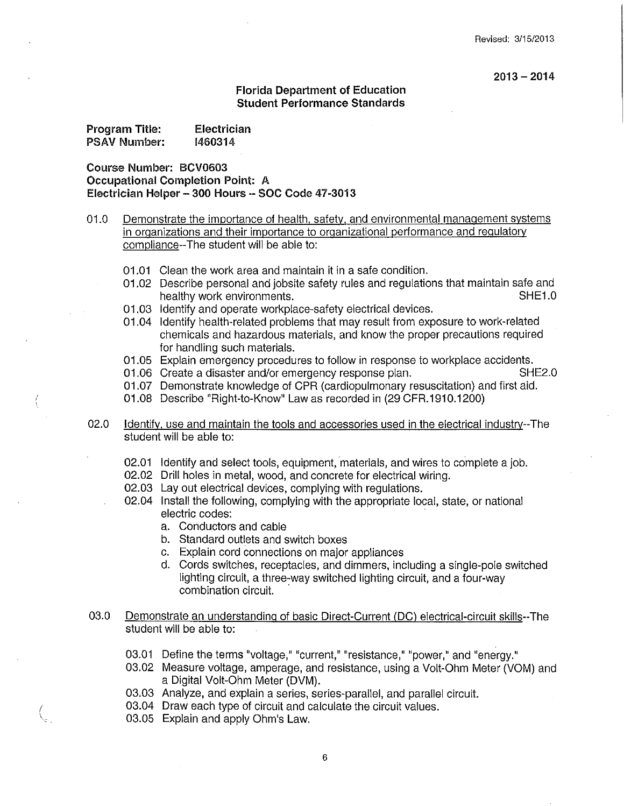$2013 - 2014$ 

#### **Florida Department of Education Student Performance Standards**

| Program Title: | <b>Electrician</b> |
|----------------|--------------------|
| PSAV Number:   | 1460314            |

**Course Number: BCV0603 Occupational Completion Point: A Electrician Helper- 300 Hours** - **SOC Code 47-3013** 

- 01.0 Demonstrate the importance of health, safety, and environmental management systems in organizations and their importance to organizational performance and regulatory compliance--The student will be able to:
	- 01.01 Clean the work area and maintain it in a safe condition.
	- 01.02 Describe personal and jobsite safety rules and regulations that maintain safe and healthy work environments. The state of the state of the SHE1.0
	- 01.03 Identify and operate workplace-safety electrical devices.
	- 01.04 Identify health-related problems that may result from exposure to work-related chemicals and hazardous materials, and know the proper precautions required for handling such materials.
	- 01.05 Explain emergency procedures to follow in response to workplace accidents.
	- 01.06 Create a disaster and/or emergency response plan. SHE2.0
	- 01.07 Demonstrate knowledge of CPR (cardiopulmonary resuscitation) and first aid.
	- 01.08 Describe "Right-to-Know" Law as recorded in (29 CFR.1910.1200)
- 02.0 Identify, use and maintain the tools and accessories used in the electrical industry--The student will be able to:
	- 02.01 Identify and select tools, equipment, materials, and wires to complete a job.
	- 02.02 Drill holes in metal, wood, and concrete for electrical wiring.
	- 02.03 Lay out electrical devices, complying with regulations.
	- 02.04 Install the following, complying with the appropriate local, state, or national electric codes:
		- a. Conductors and cable
		- b. Standard outlets and switch boxes
		- c. Explain cord connections on major appliances
		- d. Cords switches, receptacles, and dimmers, including a single-pole switched lighting circuit, a three-way switched lighting circuit, and a four-way combination circuit.
- 03.0 Demonstrate an understanding of basic Direct-Current (DC) electrical-circuit skills--The student will be able to:
	- 03.01 Define the terms "voltage," "current," "resistance," "power," and "energy."
	- 03.02 Measure voltage, amperage, and resistance, using a Volt-Ohm Meter (VOM) and a Digital Volt-Ohm Meter (DVM).
	- 03.03 Analyze, and explain a series, series-parallel, and parallel circuit.
	- *<sup>I</sup>*03.04 Draw each type of circuit and calculate the circuit values. <sup>I</sup>03.05 Explain and apply Ohm's Law.
	-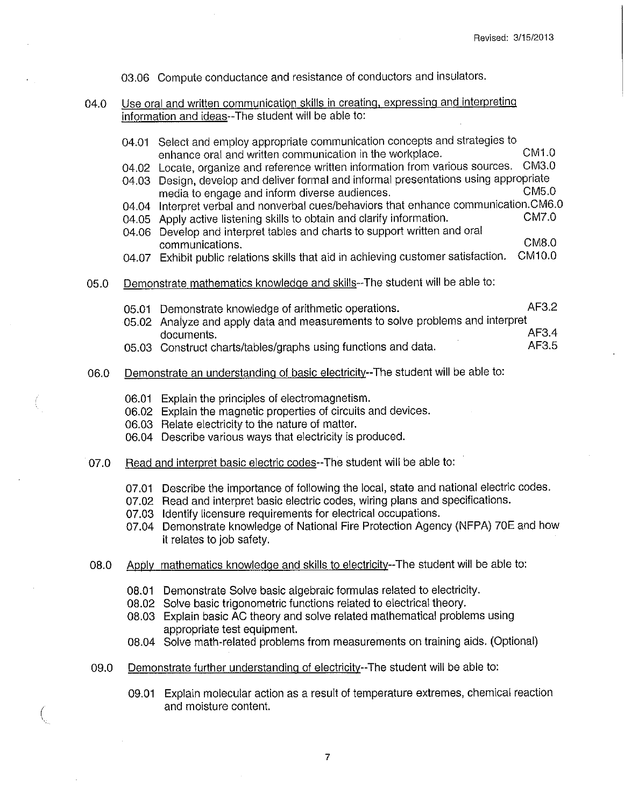03.06 Compute conductance and resistance of conductors and insulators.

04.0 Use oral and writ<u>ten communication skills in creating, expressing and interpreting</u> information and ideas--The student will be able to:

|      |       | 04.01 Select and employ appropriate communication concepts and strategies to             |              |
|------|-------|------------------------------------------------------------------------------------------|--------------|
|      |       | enhance oral and written communication in the workplace.                                 | CM1.0        |
|      |       | 04.02 Locate, organize and reference written information from various sources.           | <b>CM3.0</b> |
|      |       | 04.03 Design, develop and deliver formal and informal presentations using appropriate    |              |
|      |       | media to engage and inform diverse audiences.                                            | CM5.0        |
|      |       | 04.04 Interpret verbal and nonverbal cues/behaviors that enhance communication.CM6.0     |              |
|      |       | 04.05 Apply active listening skills to obtain and clarify information.                   | CM7.0        |
|      |       | 04.06 Develop and interpret tables and charts to support written and oral                |              |
|      |       | communications.                                                                          | <b>CM8.0</b> |
|      |       | 04.07 Exhibit public relations skills that aid in achieving customer satisfaction.       | CM10.0       |
| 05.0 |       | Demonstrate mathematics knowledge and skills--The student will be able to:               |              |
|      |       | 05.01 Demonstrate knowledge of arithmetic operations.                                    | AF3.2        |
|      |       | 05.02 Analyze and apply data and measurements to solve problems and interpret            |              |
|      |       | documents.                                                                               | AF3.4        |
|      |       | 05.03 Construct charts/tables/graphs using functions and data.                           | AF3.5        |
|      |       |                                                                                          |              |
| 06.0 |       | Demonstrate an understanding of basic electricity--The student will be able to:          |              |
|      |       | 06.01 Explain the principles of electromagnetism.                                        |              |
|      |       | 06.02 Explain the magnetic properties of circuits and devices.                           |              |
|      |       | 06.03 Relate electricity to the nature of matter.                                        |              |
|      |       | 06.04 Describe various ways that electricity is produced.                                |              |
|      |       |                                                                                          |              |
| 07.0 |       | Read and interpret basic electric codes--The student will be able to:                    |              |
|      |       | 07.01 Describe the importance of following the local, state and national electric codes. |              |
|      |       | 07.02 Read and interpret basic electric codes, wiring plans and specifications.          |              |
|      |       | 07.03 Identify licensure requirements for electrical occupations.                        |              |
|      |       | 07.04 Demonstrate knowledge of National Fire Protection Agency (NFPA) 70E and how        |              |
|      |       | it relates to job safety.                                                                |              |
|      |       |                                                                                          |              |
| 08.0 |       | Apply mathematics knowledge and skills to electricity--The student will be able to:      |              |
|      |       | 08.01 Demonstrate Solve basic algebraic formulas related to electricity.                 |              |
|      |       | 08.02 Solve basic trigonometric functions related to electrical theory.                  |              |
|      |       | 08.03 Explain basic AC theory and solve related mathematical problems using              |              |
|      |       | appropriate test equipment.                                                              |              |
|      |       | 08.04 Solve math-related problems from measurements on training aids. (Optional)         |              |
| 09.0 |       | Demonstrate further understanding of electricity--The student will be able to:           |              |
|      |       |                                                                                          |              |
|      | 09.01 | Explain molecular action as a result of temperature extremes, chemical reaction          |              |
|      |       | and moisture content.                                                                    |              |
|      |       |                                                                                          |              |

 $\left(\right)$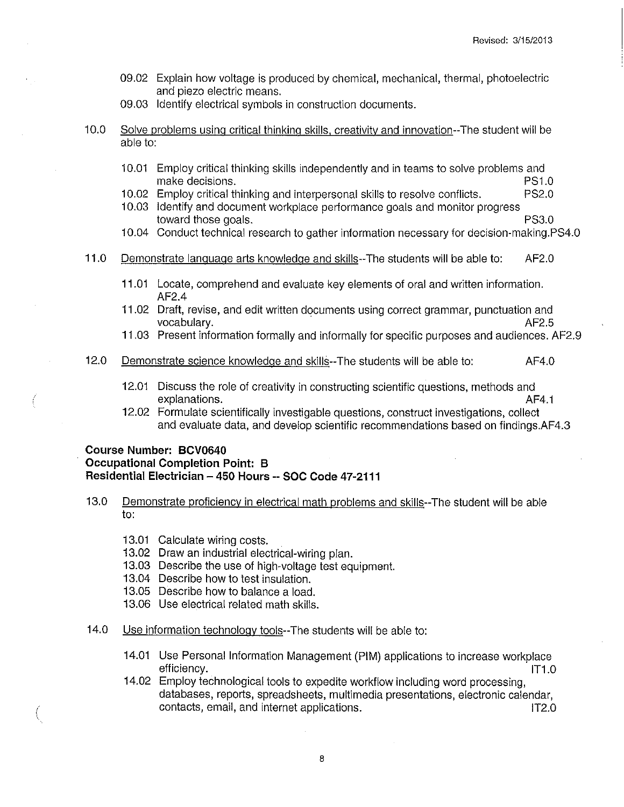- 09.02 Explain how voltage is produced by chemical, mechanical, thermal, photoelectric and piezo electric means.
- 09.03 Identify electrical symbols in construction documents.
- 10.0 Solve problems using critical thinking skills, creativity and innovation--The student will be able to:
	- 10.01 Employ critical thinking skills independently and in teams to solve problems and make decisions. PS1.0
	- 10.02 Employ critical thinking and interpersonal skills to resolve conflicts. PS2.0
	- 10.03 Identify and document workplace performance goals and monitor progress toward those goals. PS3.0
	- 10.04 Conduct technical research to gather information necessary for decision-making.PS4.0
- 11.0 Demonstrate language arts knowledge and skills--The students will be able to: AF2.0
	- 11.01 Locate, comprehend and evaluate key elements of oral and written information. AF2.4
	- 11.02 Draft, revise, and edit written documents using correct grammar, punctuation and vocabulary. Af2.5
	- 11.03 Present information formally and informally for specific purposes and audiences. AF2.9
- 12.0 Demonstrate science knowledge and skills--The students will be able to: AF4.0
	- 12.01 Discuss the role of creativity in constructing scientific questions, methods and explanations. AF4.1
	- 12.02 Formulate scientifically investigable questions, construct investigations, collect and evaluate data, and develop scientific recommendations based on findings.AF4.3

#### **Course Number: BCV0640 Occupational Completion Point: B Residential Electrician - 450 Hours -- SOC Code 47-2111**

- 13.0 Demonstrate proficiency in electrical math problems and skills--The student will be able to:
	- 13.01 Calculate wiring costs.
	- 13.02 Draw an industrial electrical-wiring plan.
	- 13.03 Describe the use of high-voltage test equipment.
	- 13.04 Describe how to test insulation.
	- 13.05 Describe how to balance a load.
	- 13.06 Use electrical related math skills.
- 14.0 Use information technology tools--The students will be able to:
	- 14.01 Use Personal Information Management (PIM) applications to increase workplace efficiency. IT1.0
	- 14.02 Employ technological tools to expedite workflow including word processing, databases, reports, spreadsheets, multimedia presentations, electronic calendar, contacts, email, and internet applications. IT2.0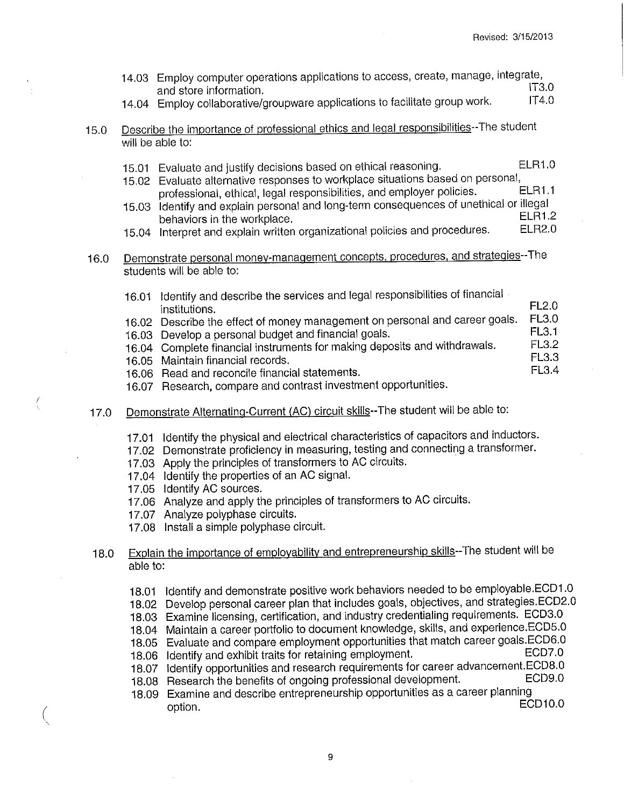- 14.03 Employ computer operations applications to access, create, manage, integrate, and store information.<br>Employ collaborative/eroupware applications to facilitate group work [174.0]
- 14.04 Employ collaborative/groupware applications to facilitate group work.
- 15.0 Describe the importance of professional ethics and legal responsibilities--The student will be able to:
	- 15.01 Evaluate and justify decisions based on ethical reasoning. ELR1 .0
	- 15.02 Evaluate alternative responses to workplace situations based on personal,<br>15.02 Evaluate alternative responsibilities and employer policies. professional, ethical, legal responsibilities, and employer policies.
	- 15.03 Identify and explain personal and long-term consequences of unethical or illegal behaviors in the workplace.<br>Interpret and explain written erganizational policies and procedures. ELR2.0
	- 15.04 Interpret and explain written organizational policies and procedures.
- 16.0 Demonstrate personal money-management concepts. procedures. and strategies--The students will be able to:
	- 16.01 Identify and describe the services and legal responsibilities of financial<br>institutions.<br>16.02 Describe the effect of money management on personal and career goals. FL3.0 16.02 Describe the effect of money management on personal and career goals. FL3.0<br>FL3.1 16.03 Develop a personal budget and financial goals. FL3.1<br>16.04 Complete financial instruments for making deposits and withdrawals. FL3.2 16.04 Complete financial instruments for making deposits and withdrawals. FL3.2<br>FL3.3 16.05 Maintain financial records.<br>16.06 Bead and reconcile financial statements [15] TEMP FL3.4 16.06 Read and reconcile financial statements.
		- 16.07 Research, compare and contrast investment opportunities.
- 17.0 Demonstrate Alternating-Current (AC) circuit skills--The student will be able to:
	- 17.01 Identify the physical and electrical characteristics of capacitors and inductors.
	- 17.02 Demonstrate proficiency in measuring, testing and connecting a transformer.
	- 17.03 Apply the principles of transformers to AC circuits.
	- 17.04 Identify the properties of an AC signal.
	- 17.05 Identify AC sources.
	- 17.06 Analyze and apply the principles of transformers to AC circuits.
	- 17.07 Analyze polyphase circuits.
	- 17.08 Install a simple polyphase circuit.
- 18.0 Explain the importance of employability and entrepreneurship skills--The student will be able to:
	- 18.01 Identify and demonstrate positive work behaviors needed to be employable.ECD1 .0
	- 18.02 Develop personal career plan that includes goals, objectives, and strategies.ECD2.0
	- 18.03 Examine licensing, certification, and industry credentialing requirements. ECD3.0
	- 18.04 Maintain a career portfolio to document knowledge, skills, and experience.ECD5.0
	- 18.05 Evaluate and compare employment opportunities that match career goals.ECD6.0<br>18.06 Identify and exhibit traits for retaining employment.
	- 18.06 Identify and exhibit traits for retaining employment.
	- 18.07 Identify opportunities and research requirements for career advancement.ECD8.0<br>18.08 Besearch the benefits of ongoing professional development. ECD9.0
	- 18.08 Research the benefits of ongoing professional development.
- 18.09 Examine and describe entrepreneurship opportunities as a career planning  $\sim$  coption. ECD10.0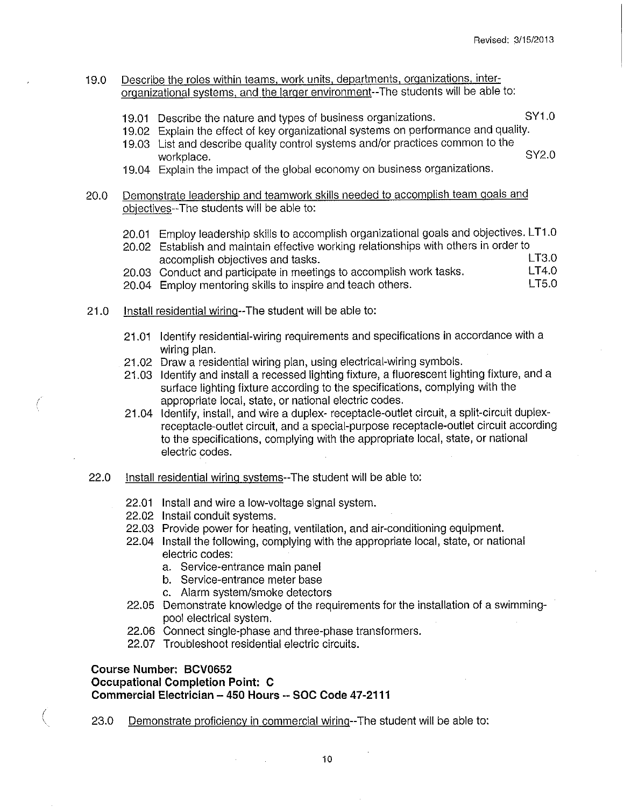#### 19.0 Describe the roles within teams, work units, departments, organizations, interorganizational systems, and the larger environment--The students will be able to:

- 19.01 Describe the nature and types of business organizations. SY1.0
- 19.02 Explain the effect of key organizational systems on performance and quality.

19.04 Explain the impact of the global economy on business organizations.

### 20.0 Demonstrate leadership and teamwork skills needed to accomplish team goals and objectives--The students will be able to:

20.01 Employ leadership skills to accomplish organizational goals and objectives. LT1 .0

|  | 20.02 Establish and maintain effective working relationships with others in order to |          |
|--|--------------------------------------------------------------------------------------|----------|
|  | accomplish objectives and tasks.                                                     | LT3.0    |
|  | 20.03 Conduct and participate in meetings to accomplish work tasks.                  | LT4.0    |
|  | 20.04 Employ mentoring skills to inspire and teach others.                           | 1 T.S.O. |

- 21.0 Install residential wiring--The student will be able to:
	- 21.01 Identify residential-wiring requirements and specifications in accordance with a wiring plan.
	- 21.02 Draw a residential wiring plan, using electrical-wiring symbols.
	- 21.03 Identify and install a recessed lighting fixture, a fluorescent lighting fixture, and a surface lighting fixture according to the specifications, complying with the appropriate local, state, or national electric codes.
	- 21.04 Identify, install, and wire a duplex- receptacle-outlet circuit, a split-circuit duplexreceptacle-outlet circuit, and a special-purpose receptacle-outlet circuit according to the specifications, complying with the appropriate local, state, or national electric codes.
- 22.0 Install residential wiring systems--The student will be able to:
	- 22.01 Install and wire a low-voltage signal system.
	- 22.02 Install conduit systems.
	- 22.03 Provide power for heating, ventilation, and air-conditioning equipment.
	- 22.04 Install the following, complying with the appropriate local, state, or national electric codes:
		- a. Service-entrance main panel
		- b. Service-entrance meter base
		- c. Alarm system/smoke detectors
	- 22.05 Demonstrate knowledge of the requirements for the installation of a swimmingpool electrical system.
	- 22.06 Connect single-phase and three-phase transformers.
	- 22.07 Troubleshoot residential electric circuits.

### **Course Number: BCV0652**

**Occupational Completion Point: C Commercial Electrician - 450 Hours -- SOC Code 47-2111** 

23.0 Demonstrate proficiency in commercial wiring--The student will be able to:

<sup>19.03</sup> List and describe quality control systems and/or practices common to the workplace. SY2.0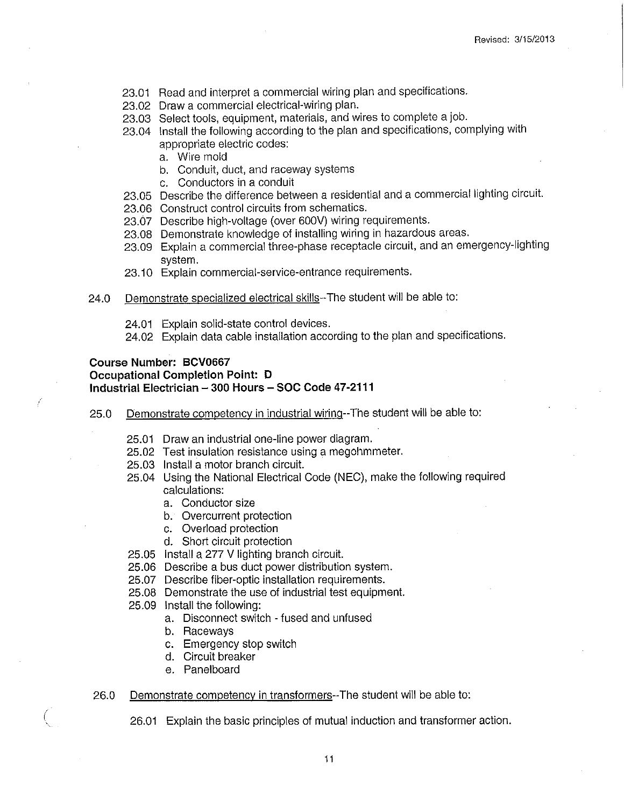- 23.01 Read and interpret a commercial wiring plan and specifications.
- 23.02 Draw a commercial electrical-wiring plan.
- 23.03 Select tools, equipment, materials, and wires to complete a job.
- 23.04 Install the following according to the plan and specifications, complying with appropriate electric codes:
	- a. Wire mold
	- b. Conduit, duct, and raceway systems
	- c. Conductors in a conduit
- 23.05 Describe the difference between a residential and a commercial lighting circuit.
- 23.06 Construct control circuits from schematics.
- 23.67 Describe high-voltage (over 600V) wiring requirements.
- 23.08 Demonstrate knowledge of installing wiring in hazardous areas.
- 23.09 Explain a commercial three-phase receptacle circuit, and an emergency-lighting system.
- 23.10 Explain commercial-service-entrance requirements.
- 24.0 Demonstrate specialized electrical skills--The student will be able to:
	- 24.01 Explain solid-state control devices.
	- 24.02 Explain data cable installation according to the plan and specifications.

#### **Course Number: BCV0667 Occupational Completion Point: D Industrial Electrician - 300 Hours - SOC Code 47-2111**

- 25.0 Demonstrate competency in industrial wiring--The student will be able to:
	- 25.01 Draw an industrial one-line power diagram.
	- 25.02 Test insulation resistance using a megohmmeter.
	- 25.03 Install a motor branch circuit.
	- 25.04 Using the National Electrical Code (NEC), make the following required calculations:
		- a. Conductor size
		- b. Overcurrent protection
		- c. Overload protection
		- d. Short circuit protection
	- 25.05 Install a 277 V lighting branch circuit.
	- 25.06 Describe a bus duct power distribution system.
	- 25.07 Describe fiber-optic installation requirements.
	- 25.08 Demonstrate the use of industrial test equipment.
	- 25.09 Install the following:
		- a. Disconnect switch fused and unfused
		- b. Raceways
		- c. Emergency stop switch
		- d. Circuit breaker
		- e. Panelboard

#### 26.0 Demonstrate competency in transformers--The student will be able to:

26.01 Explain the basic principles of mutual induction and transformer action.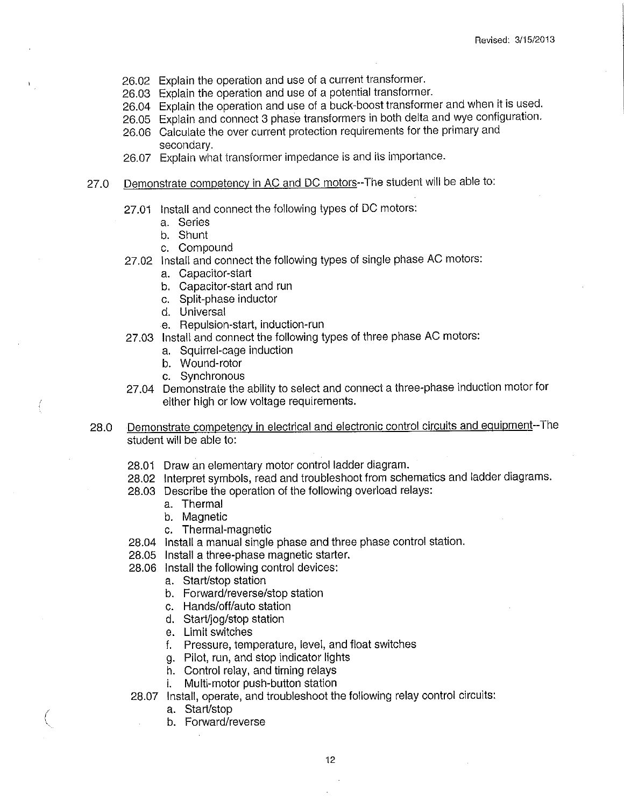- 26.02 Explain the operation and use of a current transformer.
- 26.03 Explain the operation and use of a potential transformer.
- 26.04 Explain the operation and use of a buck-boost transformer and when it is used.
- 26.05 Explain and connect 3 phase transformers in both delta and wye configuration.
- 26.06 Calculate the over current protection requirements for the primary and secondary.
- 26.07 Explain what transformer impedance is and its importance.

## 27.0 Demonstrate competency in AC and DC motors--The student will be able to:

- 27.01 Install and connect the following types of DC motors:
	- a. Series
	- b. Shunt
	- c. Compound
- 27.02 Install and connect the following types of single phase AC motors:
	- a. Capacitor-start
	- b. Capacitor-start and run
	- c. Split-phase inductor
	- d. Universal
	- e. Repulsion-start, induction-run
- 27.03 Install and connect the following types of three phase AC motors:
	- a. Squirrel-cage induction
	- b. Wound-rotor
	- c. Synchronous
- 27.04 Demonstrate the ability to select and connect a three-phase induction motor for either high or low voltage requirements.
- 28.0 Demonstrate competency in electrical and electronic control circuits and equipment--The student will be able to:
	- 28.01 Draw an elementary motor control ladder diagram.
	- 28.02 Interpret symbols, read and troubleshoot from schematics and ladder diagrams.
	- 28.03 Describe the operation of the following overload relays:
		- a. Thermal
		- b. Magnetic
		- c. Thermal-magnetic
	- 28.04 Install a manual single phase and three phase control station.
	- 28.05 Install a three-phase magnetic starter.
	- 28.06 Install the following control devices:
		- a. Start/stop station
		- b. Forward/reverse/stop station
		- c. Hands/off/auto station
		- d. Start/jog/stop station
		- e. Limit switches
		- f. Pressure, temperature, level, and float switches
		- g. Pilot, run, and stop indicator lights
		- h. Control relay, and timing relays
		- i. Multi-motor push-button station

28.07 Install, operate, and troubleshoot the following relay control circuits:

- a. Start/stop
- b. Forward/reverse